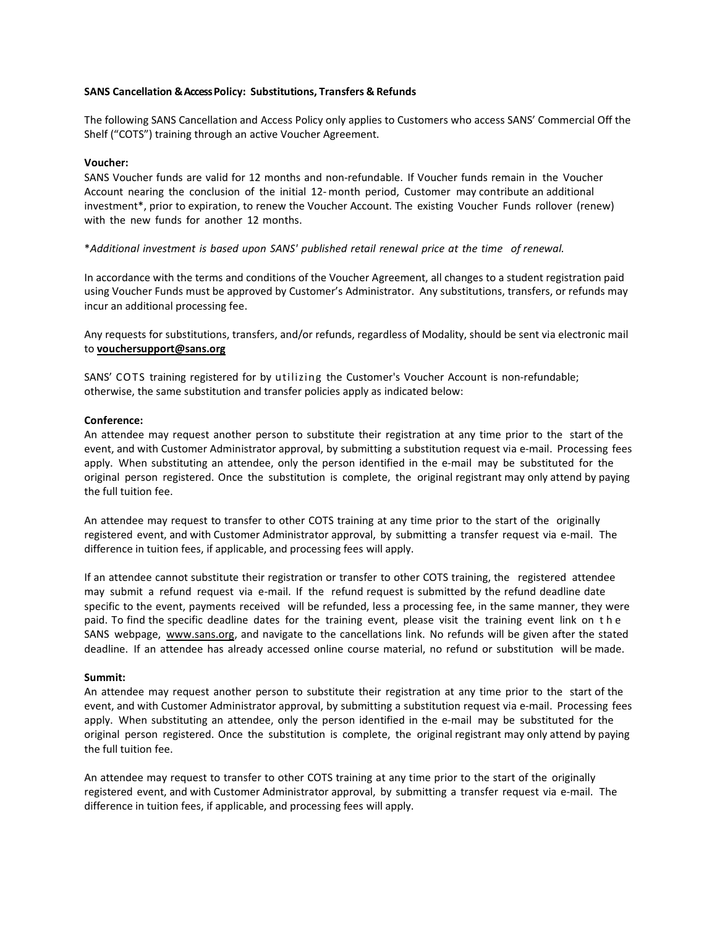# **SANS Cancellation & Access Policy: Substitutions, Transfers & Refunds**

The following SANS Cancellation and Access Policy only applies to Customers who access SANS' Commercial Off the Shelf ("COTS") training through an active Voucher Agreement.

### **Voucher:**

SANS Voucher funds are valid for 12 months and non-refundable. If Voucher funds remain in the Voucher Account nearing the conclusion of the initial 12- month period, Customer may contribute an additional investment\*, prior to expiration, to renew the Voucher Account. The existing Voucher Funds rollover (renew) with the new funds for another 12 months.

\**Additional investment is based upon SANS' published retail renewal price at the time of renewal.*

In accordance with the terms and conditions of the Voucher Agreement, all changes to a student registration paid using Voucher Funds must be approved by Customer's Administrator. Any substitutions, transfers, or refunds may incur an additional processing fee.

Any requests for substitutions, transfers, and/or refunds, regardless of Modality, should be sent via electronic mail to **vouchersupport@sans.org**

SANS' COTS training registered for by utilizing the Customer's Voucher Account is non-refundable; otherwise, the same substitution and transfer policies apply as indicated below:

#### **Conference:**

An attendee may request another person to substitute their registration at any time prior to the start of the event, and with Customer Administrator approval, by submitting a substitution request via e-mail. Processing fees apply. When substituting an attendee, only the person identified in the e-mail may be substituted for the original person registered. Once the substitution is complete, the original registrant may only attend by paying the full tuition fee.

An attendee may request to transfer to other COTS training at any time prior to the start of the originally registered event, and with Customer Administrator approval, by submitting a transfer request via e-mail. The difference in tuition fees, if applicable, and processing fees will apply.

If an attendee cannot substitute their registration or transfer to other COTS training, the registered attendee may submit a refund request via e-mail. If the refund request is submitted by the refund deadline date specific to the event, payments received will be refunded, less a processing fee, in the same manner, they were paid. To find the specific deadline dates for the training event, please visit the training event link on t h e SANS webpage, [www.sans.org,](http://www.sans.org/) and navigate to the cancellations link. No refunds will be given after the stated deadline. If an attendee has already accessed online course material, no refund or substitution will be made.

### **Summit:**

An attendee may request another person to substitute their registration at any time prior to the start of the event, and with Customer Administrator approval, by submitting a substitution request via e-mail. Processing fees apply. When substituting an attendee, only the person identified in the e-mail may be substituted for the original person registered. Once the substitution is complete, the original registrant may only attend by paying the full tuition fee.

An attendee may request to transfer to other COTS training at any time prior to the start of the originally registered event, and with Customer Administrator approval, by submitting a transfer request via e-mail. The difference in tuition fees, if applicable, and processing fees will apply.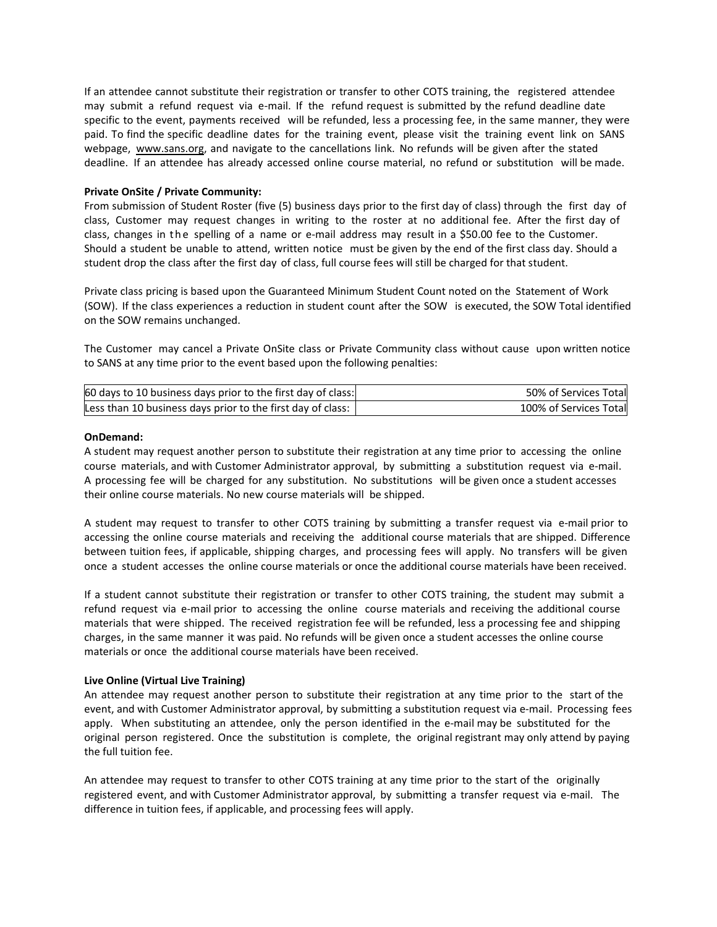If an attendee cannot substitute their registration or transfer to other COTS training, the registered attendee may submit a refund request via e-mail. If the refund request is submitted by the refund deadline date specific to the event, payments received will be refunded, less a processing fee, in the same manner, they were paid. To find the specific deadline dates for the training event, please visit the training event link on SANS webpage, [www.sans.org,](http://www.sans.org/) and navigate to the cancellations link. No refunds will be given after the stated deadline. If an attendee has already accessed online course material, no refund or substitution will be made.

# **Private OnSite / Private Community:**

From submission of Student Roster (five (5) business days prior to the first day of class) through the first day of class, Customer may request changes in writing to the roster at no additional fee. After the first day of class, changes in the spelling of a name or e-mail address may result in a \$50.00 fee to the Customer. Should a student be unable to attend, written notice must be given by the end of the first class day. Should a student drop the class after the first day of class, full course fees will still be charged for that student.

Private class pricing is based upon the Guaranteed Minimum Student Count noted on the Statement of Work (SOW). If the class experiences a reduction in student count after the SOW is executed, the SOW Total identified on the SOW remains unchanged.

The Customer may cancel a Private OnSite class or Private Community class without cause upon written notice to SANS at any time prior to the event based upon the following penalties:

| 60 days to 10 business days prior to the first day of class:  | 50% of Services Total  |
|---------------------------------------------------------------|------------------------|
| Less than 10 business days prior to the first day of class: 1 | 100% of Services Total |

# **OnDemand:**

A student may request another person to substitute their registration at any time prior to accessing the online course materials, and with Customer Administrator approval, by submitting a substitution request via e-mail. A processing fee will be charged for any substitution. No substitutions will be given once a student accesses their online course materials. No new course materials will be shipped.

A student may request to transfer to other COTS training by submitting a transfer request via e-mail prior to accessing the online course materials and receiving the additional course materials that are shipped. Difference between tuition fees, if applicable, shipping charges, and processing fees will apply. No transfers will be given once a student accesses the online course materials or once the additional course materials have been received.

If a student cannot substitute their registration or transfer to other COTS training, the student may submit a refund request via e-mail prior to accessing the online course materials and receiving the additional course materials that were shipped. The received registration fee will be refunded, less a processing fee and shipping charges, in the same manner it was paid. No refunds will be given once a student accesses the online course materials or once the additional course materials have been received.

### **Live Online (Virtual Live Training)**

An attendee may request another person to substitute their registration at any time prior to the start of the event, and with Customer Administrator approval, by submitting a substitution request via e-mail. Processing fees apply. When substituting an attendee, only the person identified in the e-mail may be substituted for the original person registered. Once the substitution is complete, the original registrant may only attend by paying the full tuition fee.

An attendee may request to transfer to other COTS training at any time prior to the start of the originally registered event, and with Customer Administrator approval, by submitting a transfer request via e-mail. The difference in tuition fees, if applicable, and processing fees will apply.